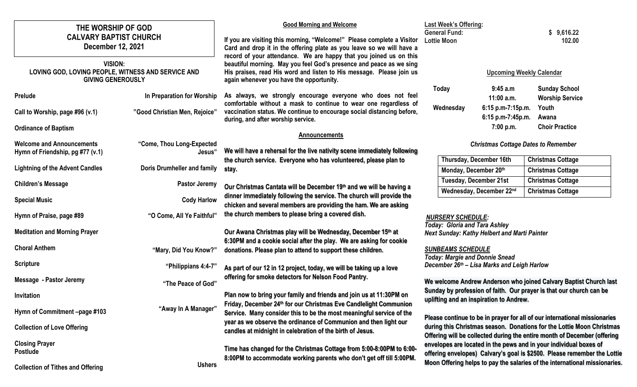| THE WORSHIP OF GOD                                                                               |                                     | <b>Good Morning and Welcome</b>                                                                                                                                                                                                                               | <b>Last Week's Offering:</b>                                                                                                                                                                                                   |                                                     |                                                      |  |
|--------------------------------------------------------------------------------------------------|-------------------------------------|---------------------------------------------------------------------------------------------------------------------------------------------------------------------------------------------------------------------------------------------------------------|--------------------------------------------------------------------------------------------------------------------------------------------------------------------------------------------------------------------------------|-----------------------------------------------------|------------------------------------------------------|--|
| <b>CALVARY BAPTIST CHURCH</b><br><b>December 12, 2021</b>                                        |                                     | If you are visiting this morning, "Welcome!" Please complete a Visitor<br>Card and drop it in the offering plate as you leave so we will have a                                                                                                               | <b>General Fund:</b><br><b>Lottie Moon</b>                                                                                                                                                                                     |                                                     | \$9,616.22<br>102.00                                 |  |
| <b>VISION:</b><br>LOVING GOD, LOVING PEOPLE, WITNESS AND SERVICE AND<br><b>GIVING GENEROUSLY</b> |                                     | record of your attendance. We are happy that you joined us on this<br>beautiful morning. May you feel God's presence and peace as we sing<br>His praises, read His word and listen to His message. Please join us<br>again whenever you have the opportunity. | <b>Upcoming Weekly Calendar</b>                                                                                                                                                                                                |                                                     |                                                      |  |
| Prelude                                                                                          | In Preparation for Worship          | As always, we strongly encourage everyone who does not feel                                                                                                                                                                                                   | <b>Today</b>                                                                                                                                                                                                                   | 9:45a.m<br>$11:00$ a.m.                             | <b>Sunday School</b><br><b>Worship Service</b>       |  |
| Call to Worship, page #96 (v.1)                                                                  | "Good Christian Men, Rejoice"       | comfortable without a mask to continue to wear one regardless of<br>vaccination status. We continue to encourage social distancing before,<br>during, and after worship service.                                                                              | Wednesday                                                                                                                                                                                                                      | 6:15 p.m-7:15p.m.<br>6:15 p.m-7:45p.m.              | Youth<br>Awana                                       |  |
| <b>Ordinance of Baptism</b>                                                                      |                                     | <b>Announcements</b>                                                                                                                                                                                                                                          |                                                                                                                                                                                                                                | 7:00 p.m.                                           | <b>Choir Practice</b>                                |  |
| <b>Welcome and Announcements</b><br>Hymn of Friendship, pg #77 (v.1)                             | "Come, Thou Long-Expected<br>Jesus" | <b>Christmas Cottage Dates to Remember</b><br>We will have a rehersal for the live nativity scene immediately following                                                                                                                                       |                                                                                                                                                                                                                                |                                                     |                                                      |  |
| <b>Lightning of the Advent Candles</b>                                                           | Doris Drumheller and family         | the church service. Everyone who has volunteered, please plan to<br>stay.                                                                                                                                                                                     |                                                                                                                                                                                                                                | Thursday, December 16th<br>Monday, December 20th    | <b>Christmas Cottage</b><br><b>Christmas Cottage</b> |  |
| <b>Children's Message</b>                                                                        | <b>Pastor Jeremy</b>                |                                                                                                                                                                                                                                                               |                                                                                                                                                                                                                                | <b>Tuesday, December 21st</b>                       | <b>Christmas Cottage</b>                             |  |
|                                                                                                  |                                     | Our Christmas Cantata will be December 19th and we will be having a<br>dinner immediately following the service. The church will provide the                                                                                                                  |                                                                                                                                                                                                                                | Wednesday, December 22nd                            | <b>Christmas Cottage</b>                             |  |
| <b>Special Music</b>                                                                             | <b>Cody Harlow</b>                  | chicken and several members are providing the ham. We are asking                                                                                                                                                                                              | <b>NURSERY SCHEDULE:</b><br><b>Today: Gloria and Tara Ashley</b>                                                                                                                                                               |                                                     |                                                      |  |
| Hymn of Praise, page #89                                                                         | "O Come, All Ye Faithful"           | the church members to please bring a covered dish.                                                                                                                                                                                                            |                                                                                                                                                                                                                                |                                                     |                                                      |  |
| <b>Meditation and Morning Prayer</b>                                                             |                                     | Our Awana Christmas play will be Wednesday, December 15th at                                                                                                                                                                                                  |                                                                                                                                                                                                                                | <b>Next Sunday: Kathy Helbert and Marti Painter</b> |                                                      |  |
| <b>Choral Anthem</b>                                                                             | "Mary, Did You Know?"               | 6:30PM and a cookie social after the play. We are asking for cookie<br>donations. Please plan to attend to support these children.                                                                                                                            | <b>SUNBEAMS SCHEDULE</b>                                                                                                                                                                                                       |                                                     |                                                      |  |
| <b>Scripture</b>                                                                                 | "Philippians 4:4-7"                 | <b>Today: Margie and Donnie Snead</b><br>December 26th - Lisa Marks and Leigh Harlow<br>As part of our 12 in 12 project, today, we will be taking up a love                                                                                                   |                                                                                                                                                                                                                                |                                                     |                                                      |  |
| <b>Message - Pastor Jeremy</b>                                                                   | "The Peace of God"                  | offering for smoke detectors for Nelson Food Pantry.                                                                                                                                                                                                          | We welcome Andrew Anderson who joined Calvary Baptist Church last<br>Sunday by profession of faith. Our prayer is that our church can be<br>uplifting and an inspiration to Andrew.                                            |                                                     |                                                      |  |
| Invitation                                                                                       |                                     | Plan now to bring your family and friends and join us at 11:30PM on                                                                                                                                                                                           |                                                                                                                                                                                                                                |                                                     |                                                      |  |
| Hymn of Commitment -page #103                                                                    | "Away In A Manager"                 | Friday, December 24 <sup>th</sup> for our Christmas Eve Candlelight Communion<br>Service. Many consider this to be the most meaningful service of the                                                                                                         |                                                                                                                                                                                                                                |                                                     |                                                      |  |
| <b>Collection of Love Offering</b>                                                               |                                     | year as we observe the ordinance of Communion and then light our<br>candles at midnight in celebration of the birth of Jesus.                                                                                                                                 | Please continue to be in prayer for all of our international missionaries<br>during this Christmas season. Donations for the Lottie Moon Christmas<br>Offering will be collected during the entire month of December (offering |                                                     |                                                      |  |
| <b>Closing Prayer</b><br><b>Postlude</b>                                                         |                                     | Time has changed for the Christmas Cottage from 5:00-8:00PM to 6:00-<br>8:00PM to accommodate working parents who don't get off till 5:00PM.                                                                                                                  | envelopes are located in the pews and in your individual boxes of<br>offering envelopes) Calvary's goal is \$2500. Please remember the Lottie                                                                                  |                                                     |                                                      |  |
| <b>Collection of Tithes and Offering</b>                                                         | <b>Ushers</b>                       |                                                                                                                                                                                                                                                               | Moon Offering helps to pay the salaries of the international missionaries.                                                                                                                                                     |                                                     |                                                      |  |